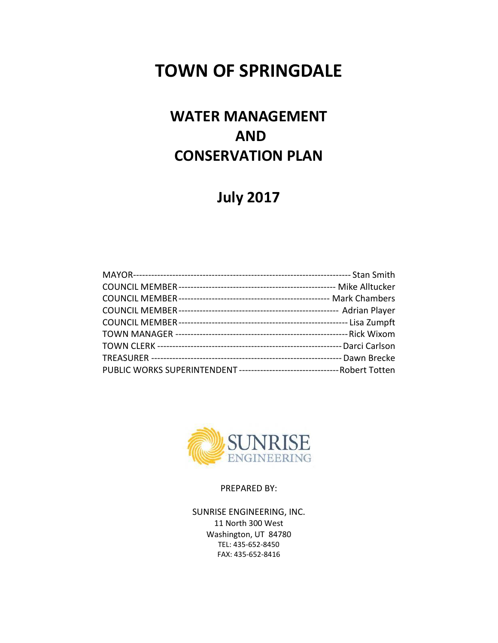# **TOWN OF SPRINGDALE**

## **WATER MANAGEMENT AND CONSERVATION PLAN**

## **July 2017**



PREPARED BY:

SUNRISE ENGINEERING, INC. 11 North 300 West Washington, UT 84780 TEL: 435-652-8450 FAX: 435-652-8416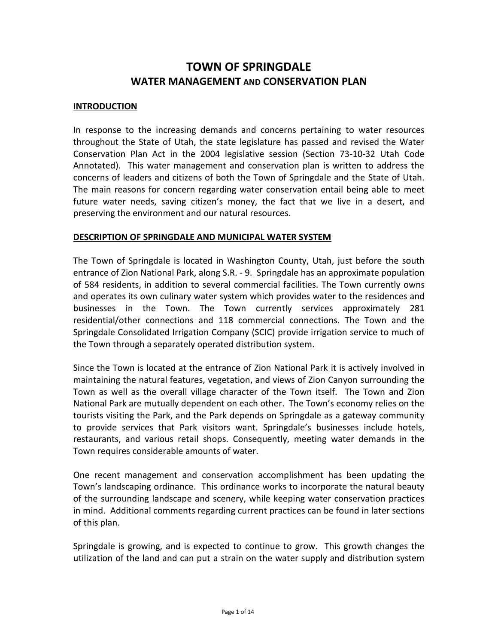## **TOWN OF SPRINGDALE WATER MANAGEMENT AND CONSERVATION PLAN**

#### **INTRODUCTION**

In response to the increasing demands and concerns pertaining to water resources throughout the State of Utah, the state legislature has passed and revised the Water Conservation Plan Act in the 2004 legislative session (Section 73-10-32 Utah Code Annotated). This water management and conservation plan is written to address the concerns of leaders and citizens of both the Town of Springdale and the State of Utah. The main reasons for concern regarding water conservation entail being able to meet future water needs, saving citizen's money, the fact that we live in a desert, and preserving the environment and our natural resources.

#### **DESCRIPTION OF SPRINGDALE AND MUNICIPAL WATER SYSTEM**

The Town of Springdale is located in Washington County, Utah, just before the south entrance of Zion National Park, along S.R. - 9. Springdale has an approximate population of 584 residents, in addition to several commercial facilities. The Town currently owns and operates its own culinary water system which provides water to the residences and businesses in the Town. The Town currently services approximately 281 residential/other connections and 118 commercial connections. The Town and the Springdale Consolidated Irrigation Company (SCIC) provide irrigation service to much of the Town through a separately operated distribution system.

Since the Town is located at the entrance of Zion National Park it is actively involved in maintaining the natural features, vegetation, and views of Zion Canyon surrounding the Town as well as the overall village character of the Town itself. The Town and Zion National Park are mutually dependent on each other. The Town's economy relies on the tourists visiting the Park, and the Park depends on Springdale as a gateway community to provide services that Park visitors want. Springdale's businesses include hotels, restaurants, and various retail shops. Consequently, meeting water demands in the Town requires considerable amounts of water.

One recent management and conservation accomplishment has been updating the Town's landscaping ordinance. This ordinance works to incorporate the natural beauty of the surrounding landscape and scenery, while keeping water conservation practices in mind. Additional comments regarding current practices can be found in later sections of this plan.

Springdale is growing, and is expected to continue to grow. This growth changes the utilization of the land and can put a strain on the water supply and distribution system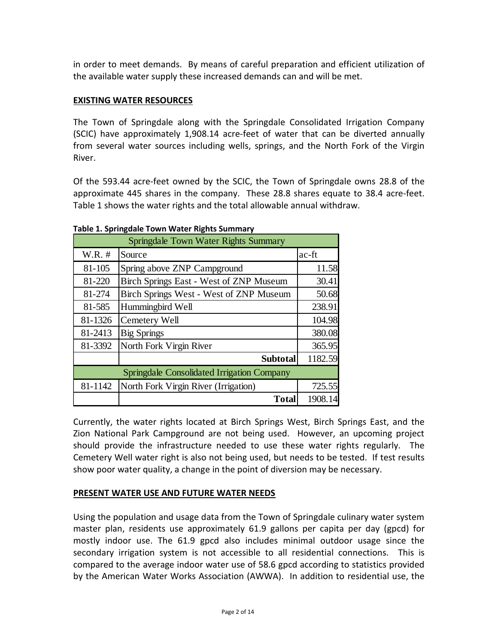in order to meet demands. By means of careful preparation and efficient utilization of the available water supply these increased demands can and will be met.

## **EXISTING WATER RESOURCES**

The Town of Springdale along with the Springdale Consolidated Irrigation Company (SCIC) have approximately 1,908.14 acre-feet of water that can be diverted annually from several water sources including wells, springs, and the North Fork of the Virgin River.

Of the 593.44 acre-feet owned by the SCIC, the Town of Springdale owns 28.8 of the approximate 445 shares in the company. These 28.8 shares equate to 38.4 acre-feet. Table 1 shows the water rights and the total allowable annual withdraw.

| Springdale Town Water Rights Summary              |                                         |         |
|---------------------------------------------------|-----------------------------------------|---------|
| $W.R.$ #                                          | Source                                  | ac-ft   |
| 81-105                                            | Spring above ZNP Campground             | 11.58   |
| 81-220                                            | Birch Springs East - West of ZNP Museum | 30.41   |
| 81-274                                            | Birch Springs West - West of ZNP Museum | 50.68   |
| 81-585                                            | Hummingbird Well                        | 238.91  |
| 81-1326                                           | Cemetery Well                           | 104.98  |
| 81-2413                                           | <b>Big Springs</b>                      | 380.08  |
| 81-3392                                           | North Fork Virgin River                 | 365.95  |
|                                                   | <b>Subtotal</b>                         | 1182.59 |
| <b>Springdale Consolidated Irrigation Company</b> |                                         |         |
| 81-1142                                           | North Fork Virgin River (Irrigation)    | 725.55  |
|                                                   | <b>Total</b>                            | 1908.14 |

**Table 1. Springdale Town Water Rights Summary**

Currently, the water rights located at Birch Springs West, Birch Springs East, and the Zion National Park Campground are not being used. However, an upcoming project should provide the infrastructure needed to use these water rights regularly. The Cemetery Well water right is also not being used, but needs to be tested. If test results show poor water quality, a change in the point of diversion may be necessary.

## **PRESENT WATER USE AND FUTURE WATER NEEDS**

Using the population and usage data from the Town of Springdale culinary water system master plan, residents use approximately 61.9 gallons per capita per day (gpcd) for mostly indoor use. The 61.9 gpcd also includes minimal outdoor usage since the secondary irrigation system is not accessible to all residential connections. This is compared to the average indoor water use of 58.6 gpcd according to statistics provided by the American Water Works Association (AWWA). In addition to residential use, the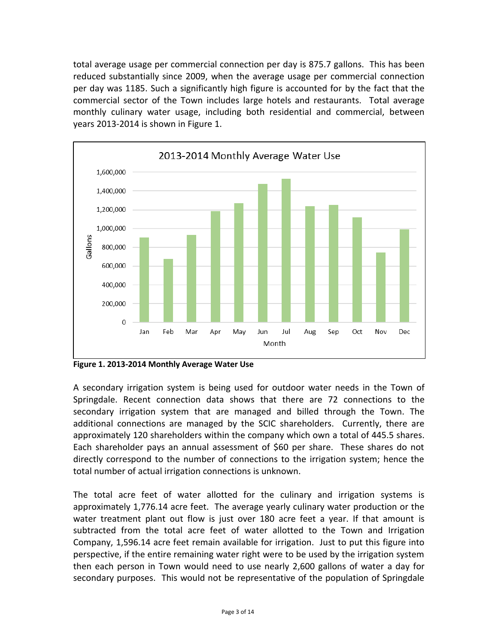total average usage per commercial connection per day is 875.7 gallons. This has been reduced substantially since 2009, when the average usage per commercial connection per day was 1185. Such a significantly high figure is accounted for by the fact that the commercial sector of the Town includes large hotels and restaurants. Total average monthly culinary water usage, including both residential and commercial, between years 2013-2014 is shown in Figure 1.



**Figure 1. 2013-2014 Monthly Average Water Use**

A secondary irrigation system is being used for outdoor water needs in the Town of Springdale. Recent connection data shows that there are 72 connections to the secondary irrigation system that are managed and billed through the Town. The additional connections are managed by the SCIC shareholders. Currently, there are approximately 120 shareholders within the company which own a total of 445.5 shares. Each shareholder pays an annual assessment of \$60 per share. These shares do not directly correspond to the number of connections to the irrigation system; hence the total number of actual irrigation connections is unknown.

The total acre feet of water allotted for the culinary and irrigation systems is approximately 1,776.14 acre feet. The average yearly culinary water production or the water treatment plant out flow is just over 180 acre feet a year. If that amount is subtracted from the total acre feet of water allotted to the Town and Irrigation Company, 1,596.14 acre feet remain available for irrigation. Just to put this figure into perspective, if the entire remaining water right were to be used by the irrigation system then each person in Town would need to use nearly 2,600 gallons of water a day for secondary purposes. This would not be representative of the population of Springdale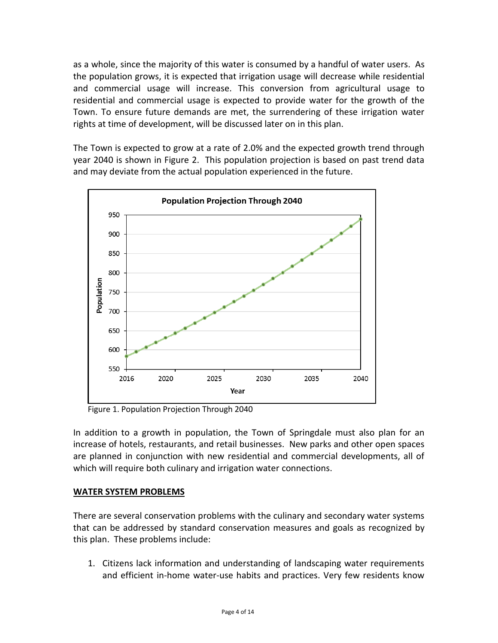as a whole, since the majority of this water is consumed by a handful of water users. As the population grows, it is expected that irrigation usage will decrease while residential and commercial usage will increase. This conversion from agricultural usage to residential and commercial usage is expected to provide water for the growth of the Town. To ensure future demands are met, the surrendering of these irrigation water rights at time of development, will be discussed later on in this plan.

The Town is expected to grow at a rate of 2.0% and the expected growth trend through year 2040 is shown in Figure 2. This population projection is based on past trend data and may deviate from the actual population experienced in the future.



Figure 1. Population Projection Through 2040

In addition to a growth in population, the Town of Springdale must also plan for an increase of hotels, restaurants, and retail businesses. New parks and other open spaces are planned in conjunction with new residential and commercial developments, all of which will require both culinary and irrigation water connections.

## **WATER SYSTEM PROBLEMS**

There are several conservation problems with the culinary and secondary water systems that can be addressed by standard conservation measures and goals as recognized by this plan. These problems include:

1. Citizens lack information and understanding of landscaping water requirements and efficient in-home water-use habits and practices. Very few residents know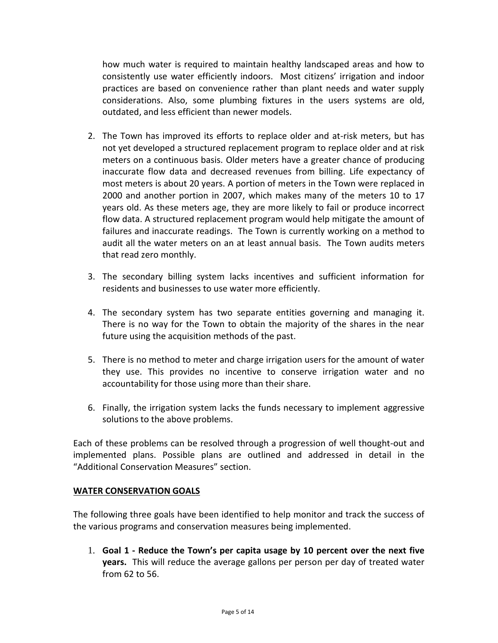how much water is required to maintain healthy landscaped areas and how to consistently use water efficiently indoors. Most citizens' irrigation and indoor practices are based on convenience rather than plant needs and water supply considerations. Also, some plumbing fixtures in the users systems are old, outdated, and less efficient than newer models.

- 2. The Town has improved its efforts to replace older and at-risk meters, but has not yet developed a structured replacement program to replace older and at risk meters on a continuous basis. Older meters have a greater chance of producing inaccurate flow data and decreased revenues from billing. Life expectancy of most meters is about 20 years. A portion of meters in the Town were replaced in 2000 and another portion in 2007, which makes many of the meters 10 to 17 years old. As these meters age, they are more likely to fail or produce incorrect flow data. A structured replacement program would help mitigate the amount of failures and inaccurate readings. The Town is currently working on a method to audit all the water meters on an at least annual basis. The Town audits meters that read zero monthly.
- 3. The secondary billing system lacks incentives and sufficient information for residents and businesses to use water more efficiently.
- 4. The secondary system has two separate entities governing and managing it. There is no way for the Town to obtain the majority of the shares in the near future using the acquisition methods of the past.
- 5. There is no method to meter and charge irrigation users for the amount of water they use. This provides no incentive to conserve irrigation water and no accountability for those using more than their share.
- 6. Finally, the irrigation system lacks the funds necessary to implement aggressive solutions to the above problems.

Each of these problems can be resolved through a progression of well thought-out and implemented plans. Possible plans are outlined and addressed in detail in the "Additional Conservation Measures" section.

## **WATER CONSERVATION GOALS**

The following three goals have been identified to help monitor and track the success of the various programs and conservation measures being implemented.

1. **Goal 1 - Reduce the Town's per capita usage by 10 percent over the next five years.** This will reduce the average gallons per person per day of treated water from 62 to 56.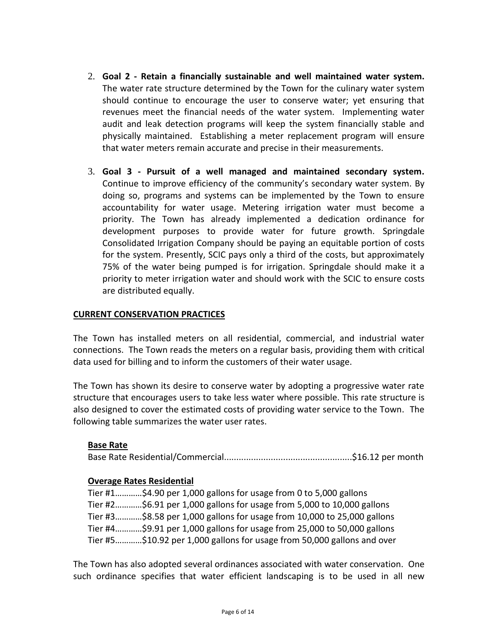- 2. **Goal 2 - Retain a financially sustainable and well maintained water system.** The water rate structure determined by the Town for the culinary water system should continue to encourage the user to conserve water; yet ensuring that revenues meet the financial needs of the water system. Implementing water audit and leak detection programs will keep the system financially stable and physically maintained. Establishing a meter replacement program will ensure that water meters remain accurate and precise in their measurements.
- 3. **Goal 3 - Pursuit of a well managed and maintained secondary system.** Continue to improve efficiency of the community's secondary water system. By doing so, programs and systems can be implemented by the Town to ensure accountability for water usage. Metering irrigation water must become a priority. The Town has already implemented a dedication ordinance for development purposes to provide water for future growth. Springdale Consolidated Irrigation Company should be paying an equitable portion of costs for the system. Presently, SCIC pays only a third of the costs, but approximately 75% of the water being pumped is for irrigation. Springdale should make it a priority to meter irrigation water and should work with the SCIC to ensure costs are distributed equally.

## **CURRENT CONSERVATION PRACTICES**

The Town has installed meters on all residential, commercial, and industrial water connections. The Town reads the meters on a regular basis, providing them with critical data used for billing and to inform the customers of their water usage.

The Town has shown its desire to conserve water by adopting a progressive water rate structure that encourages users to take less water where possible. This rate structure is also designed to cover the estimated costs of providing water service to the Town. The following table summarizes the water user rates.

## **Base Rate**

Base Rate Residential/Commercial....................................................\$16.12 per month

#### **Overage Rates Residential**

Tier #1…………\$4.90 per 1,000 gallons for usage from 0 to 5,000 gallons Tier #2…………\$6.91 per 1,000 gallons for usage from 5,000 to 10,000 gallons Tier #3…………\$8.58 per 1,000 gallons for usage from 10,000 to 25,000 gallons Tier #4…………\$9.91 per 1,000 gallons for usage from 25,000 to 50,000 gallons Tier #5…………\$10.92 per 1,000 gallons for usage from 50,000 gallons and over

The Town has also adopted several ordinances associated with water conservation. One such ordinance specifies that water efficient landscaping is to be used in all new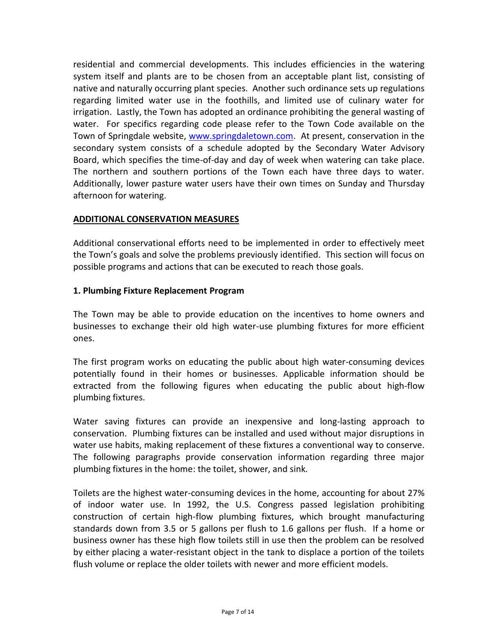residential and commercial developments. This includes efficiencies in the watering system itself and plants are to be chosen from an acceptable plant list, consisting of native and naturally occurring plant species. Another such ordinance sets up regulations regarding limited water use in the foothills, and limited use of culinary water for irrigation. Lastly, the Town has adopted an ordinance prohibiting the general wasting of water. For specifics regarding code please refer to the Town Code available on the Town of Springdale website, [www.springdaletown.com.](http://www.springdaletown.com/) At present, conservation in the secondary system consists of a schedule adopted by the Secondary Water Advisory Board, which specifies the time-of-day and day of week when watering can take place. The northern and southern portions of the Town each have three days to water. Additionally, lower pasture water users have their own times on Sunday and Thursday afternoon for watering.

## **ADDITIONAL CONSERVATION MEASURES**

Additional conservational efforts need to be implemented in order to effectively meet the Town's goals and solve the problems previously identified. This section will focus on possible programs and actions that can be executed to reach those goals.

## **1. Plumbing Fixture Replacement Program**

The Town may be able to provide education on the incentives to home owners and businesses to exchange their old high water-use plumbing fixtures for more efficient ones.

The first program works on educating the public about high water-consuming devices potentially found in their homes or businesses. Applicable information should be extracted from the following figures when educating the public about high-flow plumbing fixtures.

Water saving fixtures can provide an inexpensive and long-lasting approach to conservation. Plumbing fixtures can be installed and used without major disruptions in water use habits, making replacement of these fixtures a conventional way to conserve. The following paragraphs provide conservation information regarding three major plumbing fixtures in the home: the toilet, shower, and sink.

Toilets are the highest water-consuming devices in the home, accounting for about 27% of indoor water use. In 1992, the U.S. Congress passed legislation prohibiting construction of certain high-flow plumbing fixtures, which brought manufacturing standards down from 3.5 or 5 gallons per flush to 1.6 gallons per flush. If a home or business owner has these high flow toilets still in use then the problem can be resolved by either placing a water-resistant object in the tank to displace a portion of the toilets flush volume or replace the older toilets with newer and more efficient models.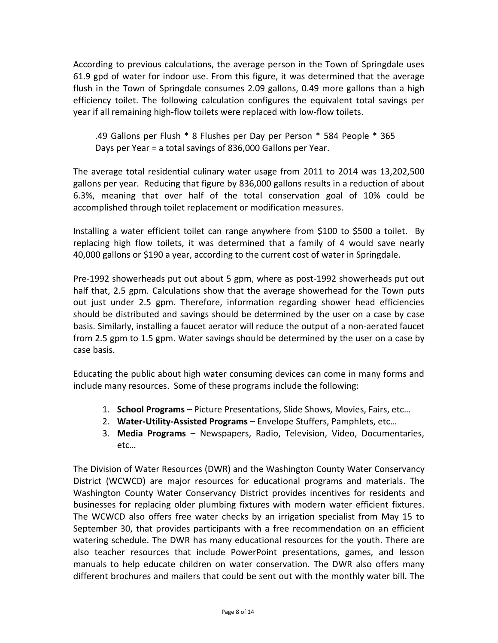According to previous calculations, the average person in the Town of Springdale uses 61.9 gpd of water for indoor use. From this figure, it was determined that the average flush in the Town of Springdale consumes 2.09 gallons, 0.49 more gallons than a high efficiency toilet. The following calculation configures the equivalent total savings per year if all remaining high-flow toilets were replaced with low-flow toilets.

.49 Gallons per Flush \* 8 Flushes per Day per Person \* 584 People \* 365 Days per Year = a total savings of 836,000 Gallons per Year.

The average total residential culinary water usage from 2011 to 2014 was 13,202,500 gallons per year. Reducing that figure by 836,000 gallons results in a reduction of about 6.3%, meaning that over half of the total conservation goal of 10% could be accomplished through toilet replacement or modification measures.

Installing a water efficient toilet can range anywhere from \$100 to \$500 a toilet. By replacing high flow toilets, it was determined that a family of 4 would save nearly 40,000 gallons or \$190 a year, according to the current cost of water in Springdale.

Pre-1992 showerheads put out about 5 gpm, where as post-1992 showerheads put out half that, 2.5 gpm. Calculations show that the average showerhead for the Town puts out just under 2.5 gpm. Therefore, information regarding shower head efficiencies should be distributed and savings should be determined by the user on a case by case basis. Similarly, installing a faucet aerator will reduce the output of a non-aerated faucet from 2.5 gpm to 1.5 gpm. Water savings should be determined by the user on a case by case basis.

Educating the public about high water consuming devices can come in many forms and include many resources. Some of these programs include the following:

- 1. **School Programs** Picture Presentations, Slide Shows, Movies, Fairs, etc…
- 2. **Water-Utility-Assisted Programs** Envelope Stuffers, Pamphlets, etc…
- 3. **Media Programs** Newspapers, Radio, Television, Video, Documentaries, etc…

The Division of Water Resources (DWR) and the Washington County Water Conservancy District (WCWCD) are major resources for educational programs and materials. The Washington County Water Conservancy District provides incentives for residents and businesses for replacing older plumbing fixtures with modern water efficient fixtures. The WCWCD also offers free water checks by an irrigation specialist from May 15 to September 30, that provides participants with a free recommendation on an efficient watering schedule. The DWR has many educational resources for the youth. There are also teacher resources that include PowerPoint presentations, games, and lesson manuals to help educate children on water conservation. The DWR also offers many different brochures and mailers that could be sent out with the monthly water bill. The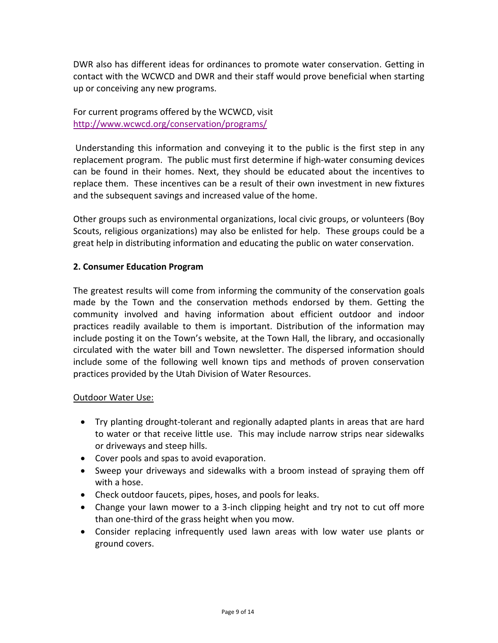DWR also has different ideas for ordinances to promote water conservation. Getting in contact with the WCWCD and DWR and their staff would prove beneficial when starting up or conceiving any new programs.

For current programs offered by the WCWCD, visit <http://www.wcwcd.org/conservation/programs/>

Understanding this information and conveying it to the public is the first step in any replacement program. The public must first determine if high-water consuming devices can be found in their homes. Next, they should be educated about the incentives to replace them. These incentives can be a result of their own investment in new fixtures and the subsequent savings and increased value of the home.

Other groups such as environmental organizations, local civic groups, or volunteers (Boy Scouts, religious organizations) may also be enlisted for help. These groups could be a great help in distributing information and educating the public on water conservation.

## **2. Consumer Education Program**

The greatest results will come from informing the community of the conservation goals made by the Town and the conservation methods endorsed by them. Getting the community involved and having information about efficient outdoor and indoor practices readily available to them is important. Distribution of the information may include posting it on the Town's website, at the Town Hall, the library, and occasionally circulated with the water bill and Town newsletter. The dispersed information should include some of the following well known tips and methods of proven conservation practices provided by the Utah Division of Water Resources.

## Outdoor Water Use:

- Try planting drought-tolerant and regionally adapted plants in areas that are hard to water or that receive little use. This may include narrow strips near sidewalks or driveways and steep hills.
- Cover pools and spas to avoid evaporation.
- Sweep your driveways and sidewalks with a broom instead of spraying them off with a hose.
- Check outdoor faucets, pipes, hoses, and pools for leaks.
- Change your lawn mower to a 3-inch clipping height and try not to cut off more than one-third of the grass height when you mow.
- Consider replacing infrequently used lawn areas with low water use plants or ground covers.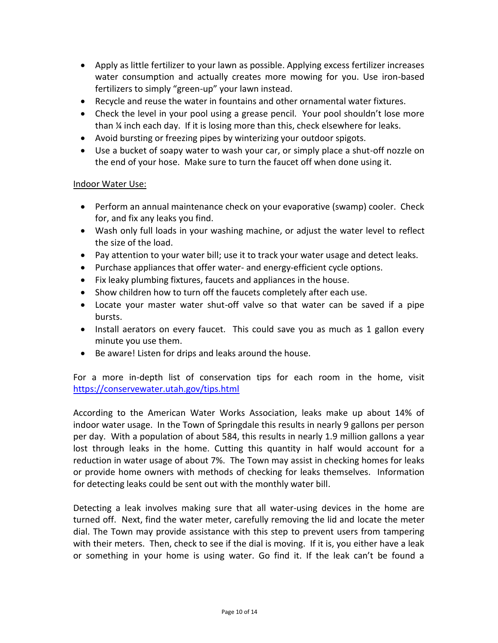- Apply as little fertilizer to your lawn as possible. Applying excess fertilizer increases water consumption and actually creates more mowing for you. Use iron-based fertilizers to simply "green-up" your lawn instead.
- Recycle and reuse the water in fountains and other ornamental water fixtures.
- Check the level in your pool using a grease pencil. Your pool shouldn't lose more than ¼ inch each day. If it is losing more than this, check elsewhere for leaks.
- Avoid bursting or freezing pipes by winterizing your outdoor spigots.
- Use a bucket of soapy water to wash your car, or simply place a shut-off nozzle on the end of your hose. Make sure to turn the faucet off when done using it.

## Indoor Water Use:

- Perform an annual maintenance check on your evaporative (swamp) cooler. Check for, and fix any leaks you find.
- Wash only full loads in your washing machine, or adjust the water level to reflect the size of the load.
- Pay attention to your water bill; use it to track your water usage and detect leaks.
- Purchase appliances that offer water- and energy-efficient cycle options.
- Fix leaky plumbing fixtures, faucets and appliances in the house.
- Show children how to turn off the faucets completely after each use.
- Locate your master water shut-off valve so that water can be saved if a pipe bursts.
- Install aerators on every faucet. This could save you as much as 1 gallon every minute you use them.
- Be aware! Listen for drips and leaks around the house.

For a more in-depth list of conservation tips for each room in the home, visit <https://conservewater.utah.gov/tips.html>

According to the American Water Works Association, leaks make up about 14% of indoor water usage. In the Town of Springdale this results in nearly 9 gallons per person per day. With a population of about 584, this results in nearly 1.9 million gallons a year lost through leaks in the home. Cutting this quantity in half would account for a reduction in water usage of about 7%. The Town may assist in checking homes for leaks or provide home owners with methods of checking for leaks themselves. Information for detecting leaks could be sent out with the monthly water bill.

Detecting a leak involves making sure that all water-using devices in the home are turned off. Next, find the water meter, carefully removing the lid and locate the meter dial. The Town may provide assistance with this step to prevent users from tampering with their meters. Then, check to see if the dial is moving. If it is, you either have a leak or something in your home is using water. Go find it. If the leak can't be found a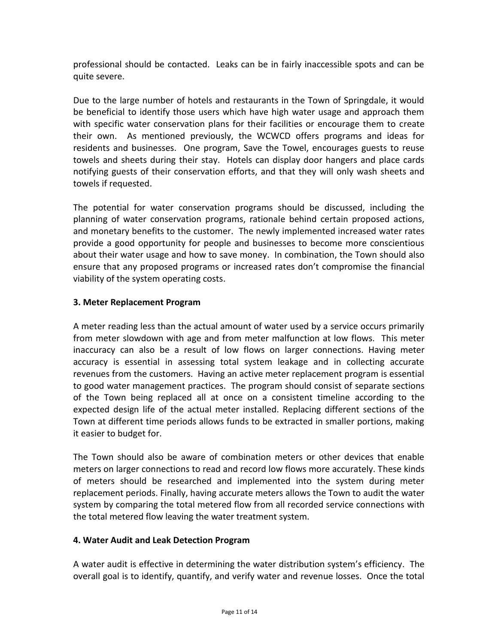professional should be contacted. Leaks can be in fairly inaccessible spots and can be quite severe.

Due to the large number of hotels and restaurants in the Town of Springdale, it would be beneficial to identify those users which have high water usage and approach them with specific water conservation plans for their facilities or encourage them to create their own. As mentioned previously, the WCWCD offers programs and ideas for residents and businesses. One program, Save the Towel, encourages guests to reuse towels and sheets during their stay. Hotels can display door hangers and place cards notifying guests of their conservation efforts, and that they will only wash sheets and towels if requested.

The potential for water conservation programs should be discussed, including the planning of water conservation programs, rationale behind certain proposed actions, and monetary benefits to the customer. The newly implemented increased water rates provide a good opportunity for people and businesses to become more conscientious about their water usage and how to save money. In combination, the Town should also ensure that any proposed programs or increased rates don't compromise the financial viability of the system operating costs.

## **3. Meter Replacement Program**

A meter reading less than the actual amount of water used by a service occurs primarily from meter slowdown with age and from meter malfunction at low flows. This meter inaccuracy can also be a result of low flows on larger connections. Having meter accuracy is essential in assessing total system leakage and in collecting accurate revenues from the customers. Having an active meter replacement program is essential to good water management practices. The program should consist of separate sections of the Town being replaced all at once on a consistent timeline according to the expected design life of the actual meter installed. Replacing different sections of the Town at different time periods allows funds to be extracted in smaller portions, making it easier to budget for.

The Town should also be aware of combination meters or other devices that enable meters on larger connections to read and record low flows more accurately. These kinds of meters should be researched and implemented into the system during meter replacement periods. Finally, having accurate meters allows the Town to audit the water system by comparing the total metered flow from all recorded service connections with the total metered flow leaving the water treatment system.

## **4. Water Audit and Leak Detection Program**

A water audit is effective in determining the water distribution system's efficiency. The overall goal is to identify, quantify, and verify water and revenue losses. Once the total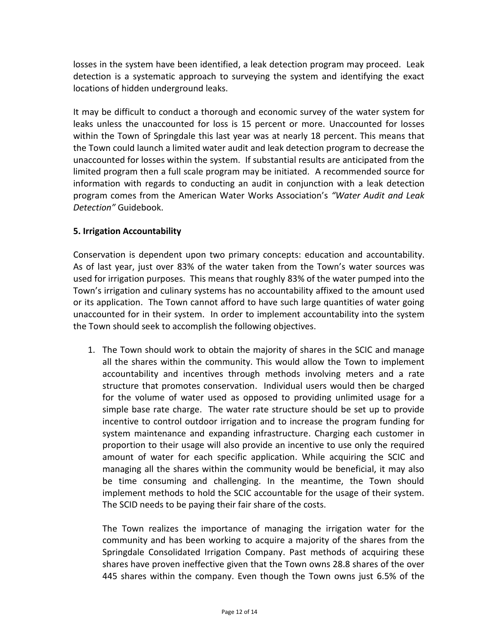losses in the system have been identified, a leak detection program may proceed. Leak detection is a systematic approach to surveying the system and identifying the exact locations of hidden underground leaks.

It may be difficult to conduct a thorough and economic survey of the water system for leaks unless the unaccounted for loss is 15 percent or more. Unaccounted for losses within the Town of Springdale this last year was at nearly 18 percent. This means that the Town could launch a limited water audit and leak detection program to decrease the unaccounted for losses within the system. If substantial results are anticipated from the limited program then a full scale program may be initiated. A recommended source for information with regards to conducting an audit in conjunction with a leak detection program comes from the American Water Works Association's *"Water Audit and Leak Detection"* Guidebook.

## **5. Irrigation Accountability**

Conservation is dependent upon two primary concepts: education and accountability. As of last year, just over 83% of the water taken from the Town's water sources was used for irrigation purposes. This means that roughly 83% of the water pumped into the Town's irrigation and culinary systems has no accountability affixed to the amount used or its application. The Town cannot afford to have such large quantities of water going unaccounted for in their system. In order to implement accountability into the system the Town should seek to accomplish the following objectives.

1. The Town should work to obtain the majority of shares in the SCIC and manage all the shares within the community. This would allow the Town to implement accountability and incentives through methods involving meters and a rate structure that promotes conservation. Individual users would then be charged for the volume of water used as opposed to providing unlimited usage for a simple base rate charge. The water rate structure should be set up to provide incentive to control outdoor irrigation and to increase the program funding for system maintenance and expanding infrastructure. Charging each customer in proportion to their usage will also provide an incentive to use only the required amount of water for each specific application. While acquiring the SCIC and managing all the shares within the community would be beneficial, it may also be time consuming and challenging. In the meantime, the Town should implement methods to hold the SCIC accountable for the usage of their system. The SCID needs to be paying their fair share of the costs.

The Town realizes the importance of managing the irrigation water for the community and has been working to acquire a majority of the shares from the Springdale Consolidated Irrigation Company. Past methods of acquiring these shares have proven ineffective given that the Town owns 28.8 shares of the over 445 shares within the company. Even though the Town owns just 6.5% of the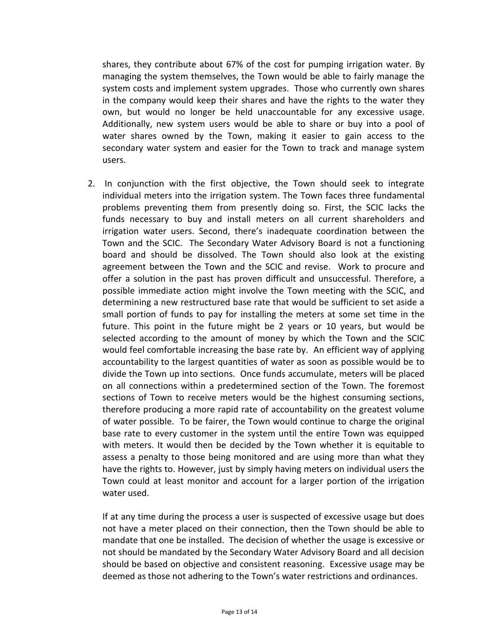shares, they contribute about 67% of the cost for pumping irrigation water. By managing the system themselves, the Town would be able to fairly manage the system costs and implement system upgrades. Those who currently own shares in the company would keep their shares and have the rights to the water they own, but would no longer be held unaccountable for any excessive usage. Additionally, new system users would be able to share or buy into a pool of water shares owned by the Town, making it easier to gain access to the secondary water system and easier for the Town to track and manage system users.

2. In conjunction with the first objective, the Town should seek to integrate individual meters into the irrigation system. The Town faces three fundamental problems preventing them from presently doing so. First, the SCIC lacks the funds necessary to buy and install meters on all current shareholders and irrigation water users. Second, there's inadequate coordination between the Town and the SCIC. The Secondary Water Advisory Board is not a functioning board and should be dissolved. The Town should also look at the existing agreement between the Town and the SCIC and revise. Work to procure and offer a solution in the past has proven difficult and unsuccessful. Therefore, a possible immediate action might involve the Town meeting with the SCIC, and determining a new restructured base rate that would be sufficient to set aside a small portion of funds to pay for installing the meters at some set time in the future. This point in the future might be 2 years or 10 years, but would be selected according to the amount of money by which the Town and the SCIC would feel comfortable increasing the base rate by. An efficient way of applying accountability to the largest quantities of water as soon as possible would be to divide the Town up into sections. Once funds accumulate, meters will be placed on all connections within a predetermined section of the Town. The foremost sections of Town to receive meters would be the highest consuming sections, therefore producing a more rapid rate of accountability on the greatest volume of water possible. To be fairer, the Town would continue to charge the original base rate to every customer in the system until the entire Town was equipped with meters. It would then be decided by the Town whether it is equitable to assess a penalty to those being monitored and are using more than what they have the rights to. However, just by simply having meters on individual users the Town could at least monitor and account for a larger portion of the irrigation water used.

If at any time during the process a user is suspected of excessive usage but does not have a meter placed on their connection, then the Town should be able to mandate that one be installed. The decision of whether the usage is excessive or not should be mandated by the Secondary Water Advisory Board and all decision should be based on objective and consistent reasoning. Excessive usage may be deemed as those not adhering to the Town's water restrictions and ordinances.